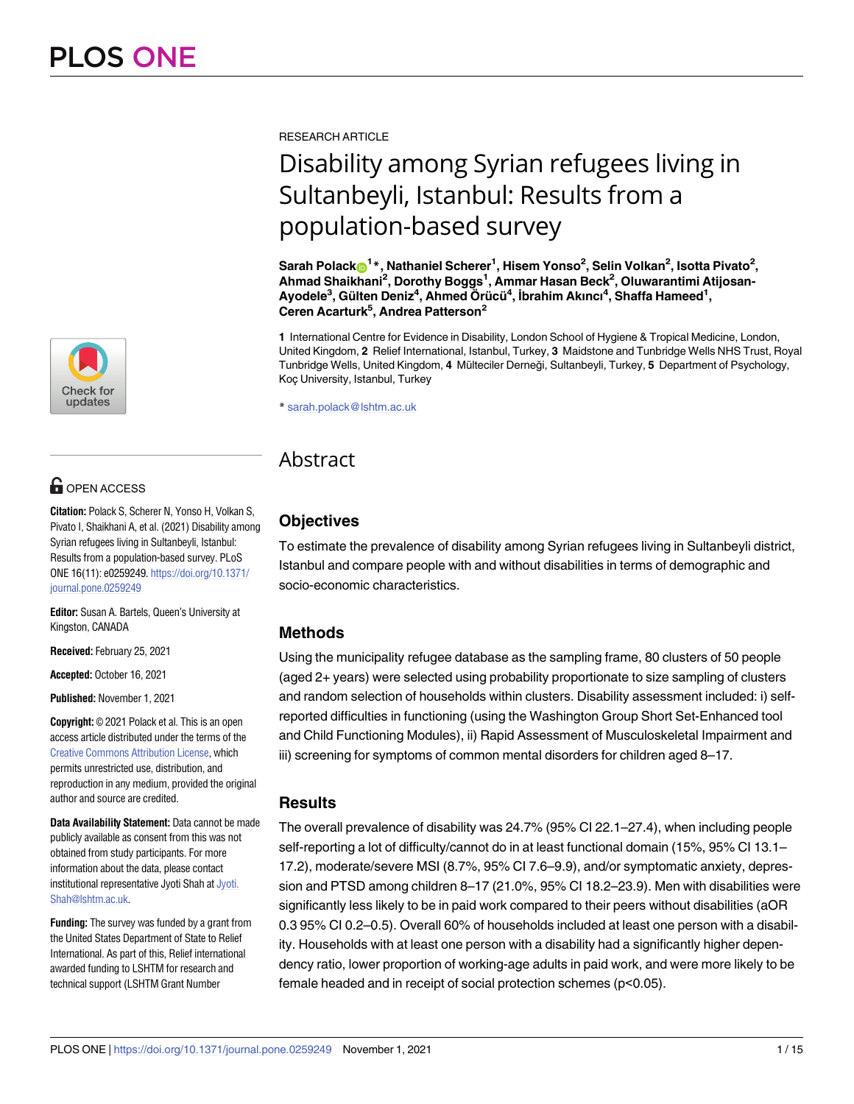

# **G** OPEN ACCESS

**Citation:** Polack S, Scherer N, Yonso H, Volkan S, Pivato I, Shaikhani A, et al. (2021) Disability among Syrian refugees living in Sultanbeyli, Istanbul: Results from a population-based survey. PLoS ONE 16(11): e0259249. [https://doi.org/10.1371/](https://doi.org/10.1371/journal.pone.0259249) [journal.pone.0259249](https://doi.org/10.1371/journal.pone.0259249)

**Editor:** Susan A. Bartels, Queen's University at Kingston, CANADA

**Received:** February 25, 2021

**Accepted:** October 16, 2021

**Published:** November 1, 2021

**Copyright:** © 2021 Polack et al. This is an open access article distributed under the terms of the Creative Commons [Attribution](http://creativecommons.org/licenses/by/4.0/) License, which permits unrestricted use, distribution, and reproduction in any medium, provided the original author and source are credited.

**Data Availability Statement:** Data cannot be made publicly available as consent from this was not obtained from study participants. For more information about the data, please contact institutional representative Jyoti Shah at [Jyoti.](mailto:Jyoti.Shah@lshtm.ac.uk) [Shah@lshtm.ac.uk.](mailto:Jyoti.Shah@lshtm.ac.uk)

**Funding:** The survey was funded by a grant from the United States Department of State to Relief International. As part of this, Relief international awarded funding to LSHTM for research and technical support (LSHTM Grant Number

RESEARCH ARTICLE

# Disability among Syrian refugees living in Sultanbeyli, Istanbul: Results from a population-based survey

 $\mathbf{S}$ arah <code>Polack $\mathbf{C}^{1*}$ , Nathaniel Scherer $^{1}$ , Hisem Yonso $^{2}$ , Selin Volkan $^{2}$ , Isotta Pivato $^{2}$ ,</code> **Ahmad Shaikhani2 , Dorothy Boggs1 , Ammar Hasan Beck2 , Oluwarantimi Atijosan-** $A$ yodele<sup>3</sup>, Gülten Deniz<sup>4</sup>, Ahmed Örücü<sup>4</sup>, İbrahim Akıncı<sup>4</sup>, Shaffa Hameed<sup>1</sup>, **Ceren Acarturk5 , Andrea Patterson2**

**1** International Centre for Evidence in Disability, London School of Hygiene & Tropical Medicine, London, United Kingdom, **2** Relief International, Istanbul, Turkey, **3** Maidstone and Tunbridge Wells NHS Trust, Royal Tunbridge Wells, United Kingdom, 4 Mülteciler Derneği, Sultanbeyli, Turkey, 5 Department of Psychology, Koc¸ University, Istanbul, Turkey

\* sarah.polack@lshtm.ac.uk

## Abstract

### **Objectives**

To estimate the prevalence of disability among Syrian refugees living in Sultanbeyli district, Istanbul and compare people with and without disabilities in terms of demographic and socio-economic characteristics.

### **Methods**

Using the municipality refugee database as the sampling frame, 80 clusters of 50 people (aged 2+ years) were selected using probability proportionate to size sampling of clusters and random selection of households within clusters. Disability assessment included: i) selfreported difficulties in functioning (using the Washington Group Short Set-Enhanced tool and Child Functioning Modules), ii) Rapid Assessment of Musculoskeletal Impairment and iii) screening for symptoms of common mental disorders for children aged 8–17.

### **Results**

The overall prevalence of disability was 24.7% (95% CI 22.1–27.4), when including people self-reporting a lot of difficulty/cannot do in at least functional domain (15%, 95% CI 13.1– 17.2), moderate/severe MSI (8.7%, 95% CI 7.6–9.9), and/or symptomatic anxiety, depression and PTSD among children 8–17 (21.0%, 95% CI 18.2–23.9). Men with disabilities were significantly less likely to be in paid work compared to their peers without disabilities (aOR 0.3 95% CI 0.2–0.5). Overall 60% of households included at least one person with a disability. Households with at least one person with a disability had a significantly higher dependency ratio, lower proportion of working-age adults in paid work, and were more likely to be female headed and in receipt of social protection schemes (p<0.05).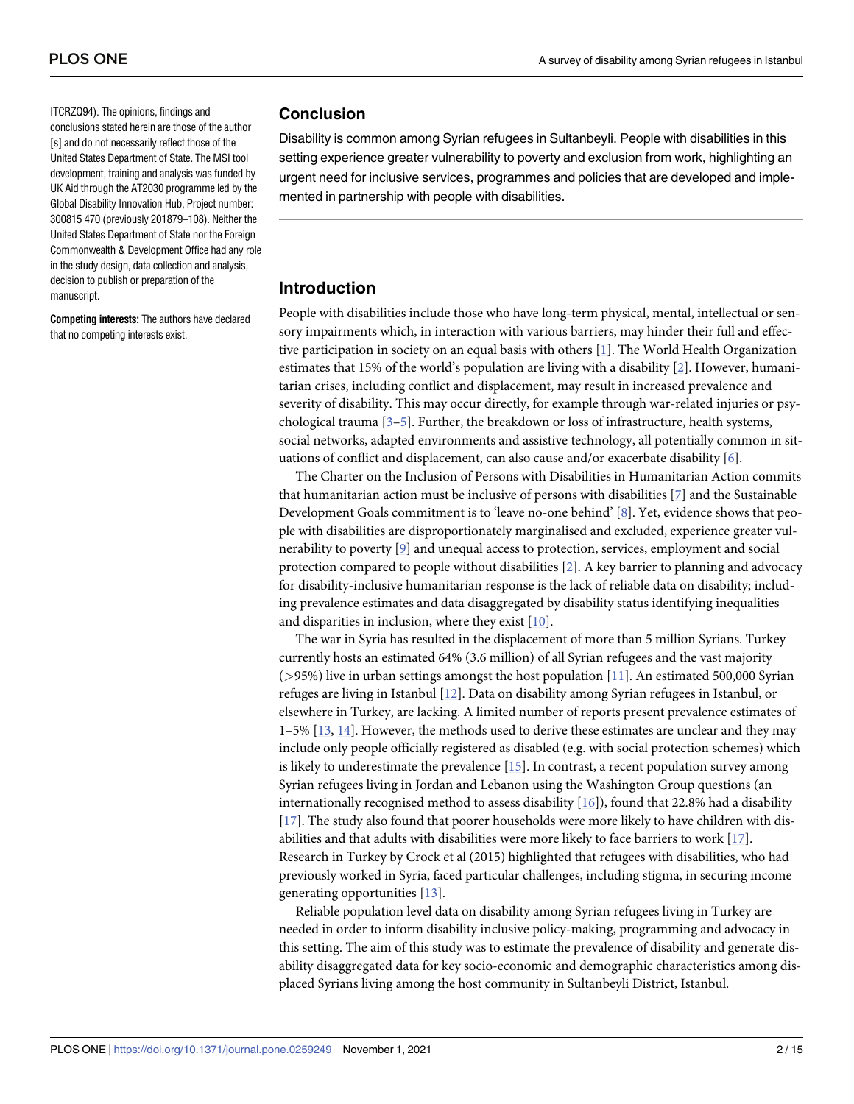<span id="page-1-0"></span>ITCRZQ94). The opinions, findings and conclusions stated herein are those of the author [s] and do not necessarily reflect those of the United States Department of State. The MSI tool development, training and analysis was funded by UK Aid through the AT2030 programme led by the Global Disability Innovation Hub, Project number: 300815 470 (previously 201879–108). Neither the United States Department of State nor the Foreign Commonwealth & Development Office had any role in the study design, data collection and analysis, decision to publish or preparation of the manuscript.

**Competing interests:** The authors have declared that no competing interests exist.

### **Conclusion**

Disability is common among Syrian refugees in Sultanbeyli. People with disabilities in this setting experience greater vulnerability to poverty and exclusion from work, highlighting an urgent need for inclusive services, programmes and policies that are developed and implemented in partnership with people with disabilities.

### **Introduction**

People with disabilities include those who have long-term physical, mental, intellectual or sensory impairments which, in interaction with various barriers, may hinder their full and effective participation in society on an equal basis with others [[1](#page-12-0)]. The World Health Organization estimates that 15% of the world's population are living with a disability [[2\]](#page-12-0). However, humanitarian crises, including conflict and displacement, may result in increased prevalence and severity of disability. This may occur directly, for example through war-related injuries or psychological trauma  $[3-5]$ . Further, the breakdown or loss of infrastructure, health systems, social networks, adapted environments and assistive technology, all potentially common in situations of conflict and displacement, can also cause and/or exacerbate disability [\[6\]](#page-13-0).

The Charter on the Inclusion of Persons with Disabilities in Humanitarian Action commits that humanitarian action must be inclusive of persons with disabilities [\[7\]](#page-13-0) and the Sustainable Development Goals commitment is to 'leave no-one behind' [\[8](#page-13-0)]. Yet, evidence shows that people with disabilities are disproportionately marginalised and excluded, experience greater vulnerability to poverty [[9](#page-13-0)] and unequal access to protection, services, employment and social protection compared to people without disabilities [\[2\]](#page-12-0). A key barrier to planning and advocacy for disability-inclusive humanitarian response is the lack of reliable data on disability; including prevalence estimates and data disaggregated by disability status identifying inequalities and disparities in inclusion, where they exist [[10](#page-13-0)].

The war in Syria has resulted in the displacement of more than 5 million Syrians. Turkey currently hosts an estimated 64% (3.6 million) of all Syrian refugees and the vast majority (*>*95%) live in urban settings amongst the host population [\[11\]](#page-13-0). An estimated 500,000 Syrian refuges are living in Istanbul [[12](#page-13-0)]. Data on disability among Syrian refugees in Istanbul, or elsewhere in Turkey, are lacking. A limited number of reports present prevalence estimates of 1–5% [[13](#page-13-0), [14](#page-13-0)]. However, the methods used to derive these estimates are unclear and they may include only people officially registered as disabled (e.g. with social protection schemes) which is likely to underestimate the prevalence [[15](#page-13-0)]. In contrast, a recent population survey among Syrian refugees living in Jordan and Lebanon using the Washington Group questions (an internationally recognised method to assess disability  $[16]$ , found that 22.8% had a disability [\[17\]](#page-13-0). The study also found that poorer households were more likely to have children with disabilities and that adults with disabilities were more likely to face barriers to work [[17](#page-13-0)]. Research in Turkey by Crock et al (2015) highlighted that refugees with disabilities, who had previously worked in Syria, faced particular challenges, including stigma, in securing income generating opportunities [\[13\]](#page-13-0).

Reliable population level data on disability among Syrian refugees living in Turkey are needed in order to inform disability inclusive policy-making, programming and advocacy in this setting. The aim of this study was to estimate the prevalence of disability and generate disability disaggregated data for key socio-economic and demographic characteristics among displaced Syrians living among the host community in Sultanbeyli District, Istanbul.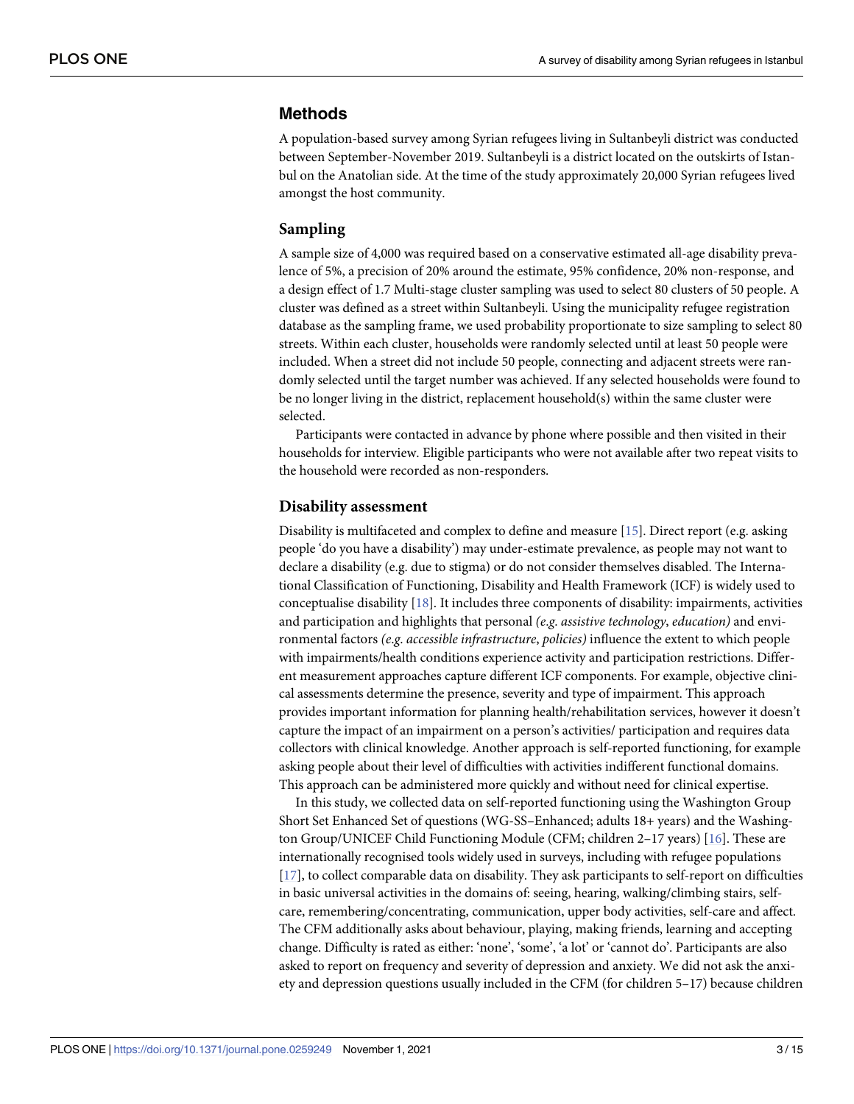### <span id="page-2-0"></span>**Methods**

A population-based survey among Syrian refugees living in Sultanbeyli district was conducted between September-November 2019. Sultanbeyli is a district located on the outskirts of Istanbul on the Anatolian side. At the time of the study approximately 20,000 Syrian refugees lived amongst the host community.

### **Sampling**

A sample size of 4,000 was required based on a conservative estimated all-age disability prevalence of 5%, a precision of 20% around the estimate, 95% confidence, 20% non-response, and a design effect of 1.7 Multi-stage cluster sampling was used to select 80 clusters of 50 people. A cluster was defined as a street within Sultanbeyli. Using the municipality refugee registration database as the sampling frame, we used probability proportionate to size sampling to select 80 streets. Within each cluster, households were randomly selected until at least 50 people were included. When a street did not include 50 people, connecting and adjacent streets were randomly selected until the target number was achieved. If any selected households were found to be no longer living in the district, replacement household(s) within the same cluster were selected.

Participants were contacted in advance by phone where possible and then visited in their households for interview. Eligible participants who were not available after two repeat visits to the household were recorded as non-responders.

### **Disability assessment**

Disability is multifaceted and complex to define and measure [\[15\]](#page-13-0). Direct report (e.g. asking people 'do you have a disability') may under-estimate prevalence, as people may not want to declare a disability (e.g. due to stigma) or do not consider themselves disabled. The International Classification of Functioning, Disability and Health Framework (ICF) is widely used to conceptualise disability [\[18\]](#page-13-0). It includes three components of disability: impairments, activities and participation and highlights that personal *(e*.*g*. *assistive technology*, *education)* and environmental factors *(e*.*g*. *accessible infrastructure*, *policies)* influence the extent to which people with impairments/health conditions experience activity and participation restrictions. Different measurement approaches capture different ICF components. For example, objective clinical assessments determine the presence, severity and type of impairment. This approach provides important information for planning health/rehabilitation services, however it doesn't capture the impact of an impairment on a person's activities/ participation and requires data collectors with clinical knowledge. Another approach is self-reported functioning, for example asking people about their level of difficulties with activities indifferent functional domains. This approach can be administered more quickly and without need for clinical expertise.

In this study, we collected data on self-reported functioning using the Washington Group Short Set Enhanced Set of questions (WG-SS–Enhanced; adults 18+ years) and the Washington Group/UNICEF Child Functioning Module (CFM; children 2–17 years) [\[16\]](#page-13-0). These are internationally recognised tools widely used in surveys, including with refugee populations [\[17\]](#page-13-0), to collect comparable data on disability. They ask participants to self-report on difficulties in basic universal activities in the domains of: seeing, hearing, walking/climbing stairs, selfcare, remembering/concentrating, communication, upper body activities, self-care and affect. The CFM additionally asks about behaviour, playing, making friends, learning and accepting change. Difficulty is rated as either: 'none', 'some', 'a lot' or 'cannot do'. Participants are also asked to report on frequency and severity of depression and anxiety. We did not ask the anxiety and depression questions usually included in the CFM (for children 5–17) because children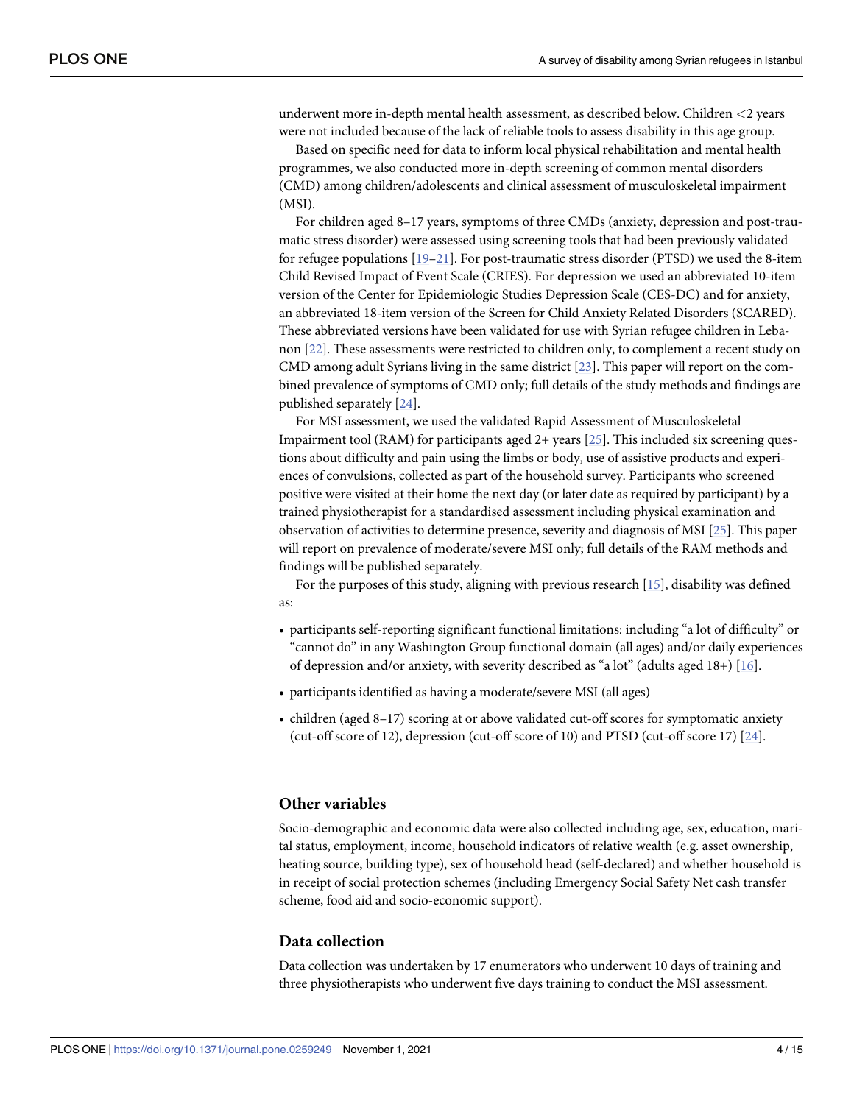<span id="page-3-0"></span>underwent more in-depth mental health assessment, as described below. Children *<*2 years were not included because of the lack of reliable tools to assess disability in this age group.

Based on specific need for data to inform local physical rehabilitation and mental health programmes, we also conducted more in-depth screening of common mental disorders (CMD) among children/adolescents and clinical assessment of musculoskeletal impairment (MSI).

For children aged 8–17 years, symptoms of three CMDs (anxiety, depression and post-traumatic stress disorder) were assessed using screening tools that had been previously validated for refugee populations [\[19–21](#page-13-0)]. For post-traumatic stress disorder (PTSD) we used the 8-item Child Revised Impact of Event Scale (CRIES). For depression we used an abbreviated 10-item version of the Center for Epidemiologic Studies Depression Scale (CES-DC) and for anxiety, an abbreviated 18-item version of the Screen for Child Anxiety Related Disorders (SCARED). These abbreviated versions have been validated for use with Syrian refugee children in Lebanon [[22](#page-13-0)]. These assessments were restricted to children only, to complement a recent study on CMD among adult Syrians living in the same district [\[23\]](#page-13-0). This paper will report on the combined prevalence of symptoms of CMD only; full details of the study methods and findings are published separately [\[24\]](#page-13-0).

For MSI assessment, we used the validated Rapid Assessment of Musculoskeletal Impairment tool (RAM) for participants aged 2+ years [\[25\]](#page-13-0). This included six screening questions about difficulty and pain using the limbs or body, use of assistive products and experiences of convulsions, collected as part of the household survey. Participants who screened positive were visited at their home the next day (or later date as required by participant) by a trained physiotherapist for a standardised assessment including physical examination and observation of activities to determine presence, severity and diagnosis of MSI [[25](#page-13-0)]. This paper will report on prevalence of moderate/severe MSI only; full details of the RAM methods and findings will be published separately.

For the purposes of this study, aligning with previous research [\[15\]](#page-13-0), disability was defined as:

- participants self-reporting significant functional limitations: including "a lot of difficulty" or "cannot do" in any Washington Group functional domain (all ages) and/or daily experiences of depression and/or anxiety, with severity described as "a lot" (adults aged  $18+$ ) [ $16$ ].
- participants identified as having a moderate/severe MSI (all ages)
- children (aged 8–17) scoring at or above validated cut-off scores for symptomatic anxiety (cut-off score of 12), depression (cut-off score of 10) and PTSD (cut-off score 17) [\[24\]](#page-13-0).

### **Other variables**

Socio-demographic and economic data were also collected including age, sex, education, marital status, employment, income, household indicators of relative wealth (e.g. asset ownership, heating source, building type), sex of household head (self-declared) and whether household is in receipt of social protection schemes (including Emergency Social Safety Net cash transfer scheme, food aid and socio-economic support).

### **Data collection**

Data collection was undertaken by 17 enumerators who underwent 10 days of training and three physiotherapists who underwent five days training to conduct the MSI assessment.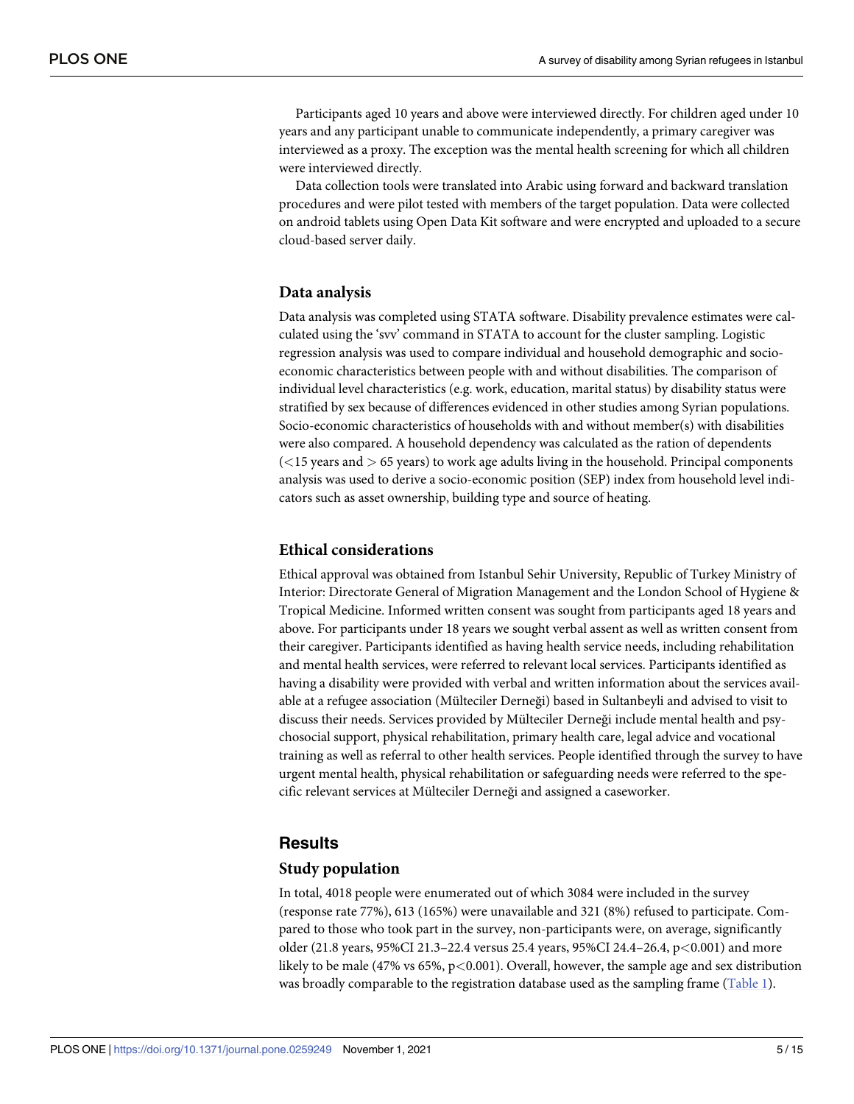<span id="page-4-0"></span>Participants aged 10 years and above were interviewed directly. For children aged under 10 years and any participant unable to communicate independently, a primary caregiver was interviewed as a proxy. The exception was the mental health screening for which all children were interviewed directly.

Data collection tools were translated into Arabic using forward and backward translation procedures and were pilot tested with members of the target population. Data were collected on android tablets using Open Data Kit software and were encrypted and uploaded to a secure cloud-based server daily.

### **Data analysis**

Data analysis was completed using STATA software. Disability prevalence estimates were calculated using the 'svv' command in STATA to account for the cluster sampling. Logistic regression analysis was used to compare individual and household demographic and socioeconomic characteristics between people with and without disabilities. The comparison of individual level characteristics (e.g. work, education, marital status) by disability status were stratified by sex because of differences evidenced in other studies among Syrian populations. Socio-economic characteristics of households with and without member(s) with disabilities were also compared. A household dependency was calculated as the ration of dependents (*<*15 years and *>* 65 years) to work age adults living in the household. Principal components analysis was used to derive a socio-economic position (SEP) index from household level indicators such as asset ownership, building type and source of heating.

### **Ethical considerations**

Ethical approval was obtained from Istanbul Sehir University, Republic of Turkey Ministry of Interior: Directorate General of Migration Management and the London School of Hygiene & Tropical Medicine. Informed written consent was sought from participants aged 18 years and above. For participants under 18 years we sought verbal assent as well as written consent from their caregiver. Participants identified as having health service needs, including rehabilitation and mental health services, were referred to relevant local services. Participants identified as having a disability were provided with verbal and written information about the services available at a refugee association (Mülteciler Derneği) based in Sultanbeyli and advised to visit to discuss their needs. Services provided by Mülteciler Derneği include mental health and psychosocial support, physical rehabilitation, primary health care, legal advice and vocational training as well as referral to other health services. People identified through the survey to have urgent mental health, physical rehabilitation or safeguarding needs were referred to the specific relevant services at Mülteciler Derneği and assigned a caseworker.

### **Results**

### **Study population**

In total, 4018 people were enumerated out of which 3084 were included in the survey (response rate 77%), 613 (165%) were unavailable and 321 (8%) refused to participate. Compared to those who took part in the survey, non-participants were, on average, significantly older (21.8 years, 95%CI 21.3–22.4 versus 25.4 years, 95%CI 24.4–26.4, p*<*0.001) and more likely to be male (47% vs 65%, p*<*0.001). Overall, however, the sample age and sex distribution was broadly comparable to the registration database used as the sampling frame ([Table](#page-5-0) 1).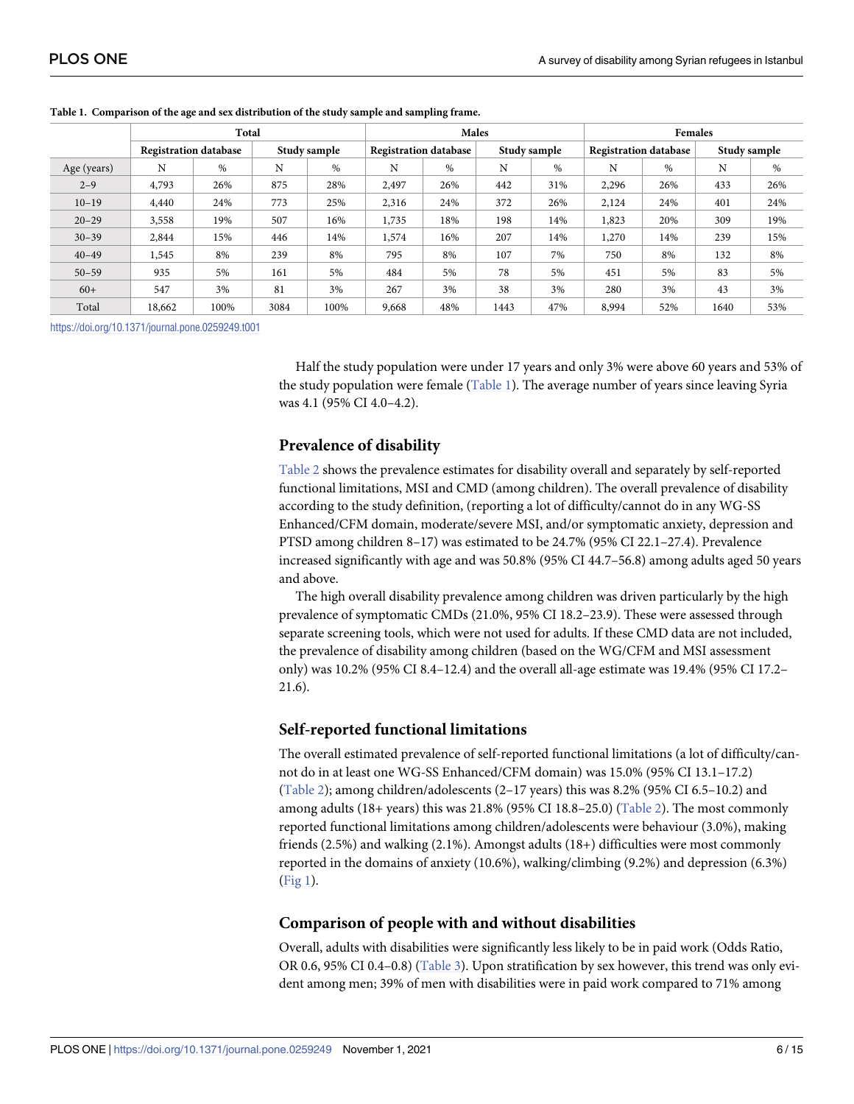|             | Total                        |      |              |      |                              | Males |      |              | <b>Females</b>               |               |              |      |  |
|-------------|------------------------------|------|--------------|------|------------------------------|-------|------|--------------|------------------------------|---------------|--------------|------|--|
|             | <b>Registration database</b> |      | Study sample |      | <b>Registration database</b> |       |      | Study sample | <b>Registration database</b> |               | Study sample |      |  |
| Age (years) | N                            | $\%$ | N            | %    | N                            | $\%$  | N    | $\%$         | N                            | $\frac{0}{0}$ | N            | $\%$ |  |
| $2 - 9$     | 4,793                        | 26%  | 875          | 28%  | 2,497                        | 26%   | 442  | 31%          | 2,296                        | 26%           | 433          | 26%  |  |
| $10 - 19$   | 4,440                        | 24%  | 773          | 25%  | 2,316                        | 24%   | 372  | 26%          | 2,124                        | 24%           | 401          | 24%  |  |
| $20 - 29$   | 3,558                        | 19%  | 507          | 16%  | 1,735                        | 18%   | 198  | 14%          | 1,823                        | 20%           | 309          | 19%  |  |
| $30 - 39$   | 2,844                        | 15%  | 446          | 14%  | 1,574                        | 16%   | 207  | 14%          | 1,270                        | 14%           | 239          | 15%  |  |
| $40 - 49$   | 1,545                        | 8%   | 239          | 8%   | 795                          | 8%    | 107  | 7%           | 750                          | 8%            | 132          | 8%   |  |
| $50 - 59$   | 935                          | 5%   | 161          | 5%   | 484                          | 5%    | 78   | 5%           | 451                          | 5%            | 83           | 5%   |  |
| $60+$       | 547                          | 3%   | 81           | 3%   | 267                          | 3%    | 38   | 3%           | 280                          | 3%            | 43           | 3%   |  |
| Total       | 18,662                       | 100% | 3084         | 100% | 9,668                        | 48%   | 1443 | 47%          | 8,994                        | 52%           | 1640         | 53%  |  |

#### <span id="page-5-0"></span>**[Table](#page-4-0) 1. Comparison of the age and sex distribution of the study sample and sampling frame.**

<https://doi.org/10.1371/journal.pone.0259249.t001>

Half the study population were under 17 years and only 3% were above 60 years and 53% of the study population were female (Table 1). The average number of years since leaving Syria was 4.1 (95% CI 4.0–4.2).

### **Prevalence of disability**

[Table](#page-6-0) 2 shows the prevalence estimates for disability overall and separately by self-reported functional limitations, MSI and CMD (among children). The overall prevalence of disability according to the study definition, (reporting a lot of difficulty/cannot do in any WG-SS Enhanced/CFM domain, moderate/severe MSI, and/or symptomatic anxiety, depression and PTSD among children 8–17) was estimated to be 24.7% (95% CI 22.1–27.4). Prevalence increased significantly with age and was 50.8% (95% CI 44.7–56.8) among adults aged 50 years and above.

The high overall disability prevalence among children was driven particularly by the high prevalence of symptomatic CMDs (21.0%, 95% CI 18.2–23.9). These were assessed through separate screening tools, which were not used for adults. If these CMD data are not included, the prevalence of disability among children (based on the WG/CFM and MSI assessment only) was 10.2% (95% CI 8.4–12.4) and the overall all-age estimate was 19.4% (95% CI 17.2– 21.6).

### **Self-reported functional limitations**

The overall estimated prevalence of self-reported functional limitations (a lot of difficulty/cannot do in at least one WG-SS Enhanced/CFM domain) was 15.0% (95% CI 13.1–17.2) [\(Table](#page-6-0) 2); among children/adolescents (2–17 years) this was 8.2% (95% CI 6.5–10.2) and among adults (18+ years) this was 21.8% (95% CI 18.8–25.0) [\(Table](#page-6-0) 2). The most commonly reported functional limitations among children/adolescents were behaviour (3.0%), making friends (2.5%) and walking (2.1%). Amongst adults (18+) difficulties were most commonly reported in the domains of anxiety (10.6%), walking/climbing (9.2%) and depression (6.3%) [\(Fig](#page-6-0) 1).

### **Comparison of people with and without disabilities**

Overall, adults with disabilities were significantly less likely to be in paid work (Odds Ratio, OR 0.6, 95% CI 0.4–0.8) [\(Table](#page-7-0) 3). Upon stratification by sex however, this trend was only evident among men; 39% of men with disabilities were in paid work compared to 71% among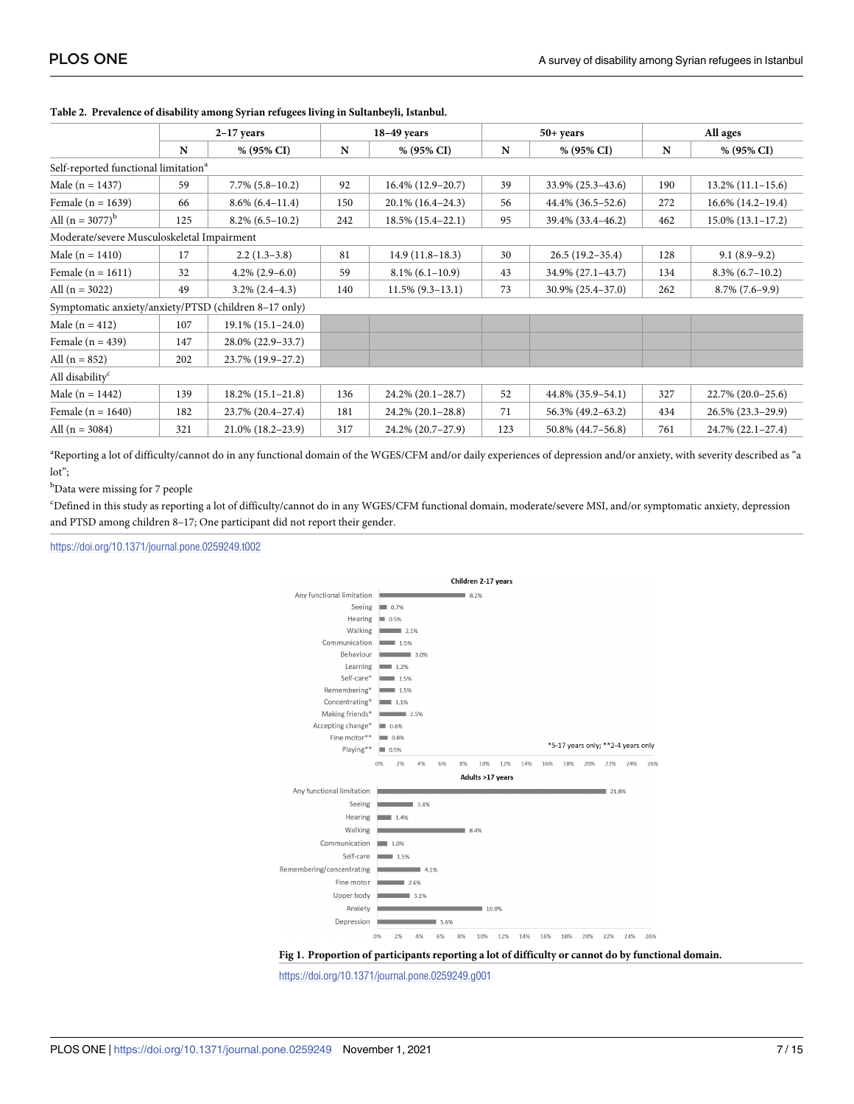|                                                       |             | $2-17$ years           |     | $18-49$ years        |     | $50+years$          | All ages |                      |  |
|-------------------------------------------------------|-------------|------------------------|-----|----------------------|-----|---------------------|----------|----------------------|--|
|                                                       | $\mathbf N$ | $% (95\% CI)$          | N   | % (95% CI)           | N   | % (95% CI)          | N        | $% (95\% CI)$        |  |
| Self-reported functional limitation <sup>a</sup>      |             |                        |     |                      |     |                     |          |                      |  |
| Male ( $n = 1437$ )                                   | 59          | $7.7\%$ (5.8-10.2)     | 92  | $16.4\%$ (12.9-20.7) | 39  | 33.9% (25.3-43.6)   | 190      | $13.2\%$ (11.1-15.6) |  |
| Female ( $n = 1639$ )                                 | 66          | $8.6\%$ (6.4-11.4)     | 150 | 20.1% (16.4-24.3)    | 56  | 44.4% (36.5–52.6)   | 272      | $16.6\%$ (14.2-19.4) |  |
| All $(n = 3077)^{b}$                                  | 125         | $8.2\%$ (6.5-10.2)     | 242 | 18.5% (15.4-22.1)    | 95  | 39.4% (33.4-46.2)   | 462      | $15.0\%$ (13.1-17.2) |  |
| Moderate/severe Musculoskeletal Impairment            |             |                        |     |                      |     |                     |          |                      |  |
| Male ( $n = 1410$ )                                   | 17          | $2.2(1.3-3.8)$         | 81  | $14.9(11.8-18.3)$    | 30  | $26.5(19.2 - 35.4)$ | 128      | $9.1(8.9-9.2)$       |  |
| Female $(n = 1611)$                                   | 32          | $4.2\%$ (2.9–6.0)      | 59  | $8.1\%$ (6.1-10.9)   | 43  | 34.9% (27.1-43.7)   | 134      | $8.3\%$ (6.7-10.2)   |  |
| All $(n = 3022)$                                      | 49          | $3.2\%$ $(2.4-4.3)$    | 140 | $11.5\%$ (9.3-13.1)  | 73  | 30.9% (25.4-37.0)   | 262      | $8.7\%$ (7.6-9.9)    |  |
| Symptomatic anxiety/anxiety/PTSD (children 8-17 only) |             |                        |     |                      |     |                     |          |                      |  |
| Male ( $n = 412$ )                                    | 107         | $19.1\% (15.1 - 24.0)$ |     |                      |     |                     |          |                      |  |
| Female $(n = 439)$                                    | 147         | 28.0% (22.9-33.7)      |     |                      |     |                     |          |                      |  |
| All $(n = 852)$                                       | 202         | 23.7% (19.9-27.2)      |     |                      |     |                     |          |                      |  |
| All disability <sup>c</sup>                           |             |                        |     |                      |     |                     |          |                      |  |
| Male ( $n = 1442$ )                                   | 139         | $18.2\%$ (15.1-21.8)   | 136 | 24.2% (20.1-28.7)    | 52  | 44.8% (35.9-54.1)   | 327      | 22.7% (20.0-25.6)    |  |
| Female $(n = 1640)$                                   | 182         | 23.7% (20.4-27.4)      | 181 | 24.2% (20.1-28.8)    | 71  | 56.3% (49.2-63.2)   | 434      | 26.5% (23.3-29.9)    |  |
| All $(n = 3084)$                                      | 321         | 21.0% (18.2-23.9)      | 317 | 24.2% (20.7-27.9)    | 123 | 50.8% (44.7-56.8)   | 761      | 24.7% (22.1-27.4)    |  |

#### <span id="page-6-0"></span>**[Table](#page-5-0) 2. Prevalence of disability among Syrian refugees living in Sultanbeyli, Istanbul.**

a Reporting a lot of difficulty/cannot do in any functional domain of the WGES/CFM and/or daily experiences of depression and/or anxiety, with severity described as "a lot";

<sup>b</sup>Data were missing for 7 people

c Defined in this study as reporting a lot of difficulty/cannot do in any WGES/CFM functional domain, moderate/severe MSI, and/or symptomatic anxiety, depression and PTSD among children 8–17; One participant did not report their gender.

<https://doi.org/10.1371/journal.pone.0259249.t002>



**[Fig](#page-5-0) 1. Proportion of participants reporting a lot of difficulty or cannot do by functional domain.**

<https://doi.org/10.1371/journal.pone.0259249.g001>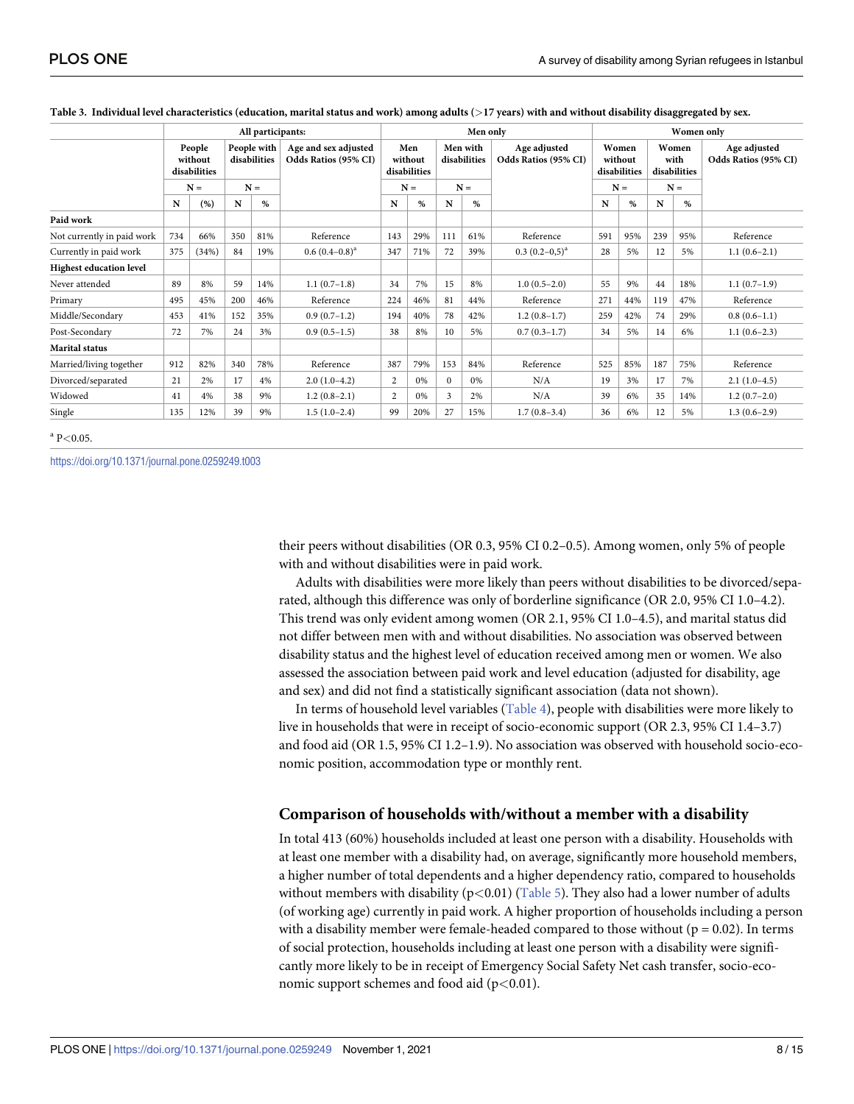|                                | All participants:                          |       |                                      |     |                                              | Men only                                |     |                                   |     |                                      | Women only                                |     |                                        |     |                                      |
|--------------------------------|--------------------------------------------|-------|--------------------------------------|-----|----------------------------------------------|-----------------------------------------|-----|-----------------------------------|-----|--------------------------------------|-------------------------------------------|-----|----------------------------------------|-----|--------------------------------------|
|                                | People<br>without<br>disabilities<br>$N =$ |       | People with<br>disabilities<br>$N =$ |     | Age and sex adjusted<br>Odds Ratios (95% CI) | Men<br>without<br>disabilities<br>$N =$ |     | Men with<br>disabilities<br>$N =$ |     | Age adjusted<br>Odds Ratios (95% CI) | Women<br>without<br>disabilities<br>$N =$ |     | Women<br>with<br>disabilities<br>$N =$ |     | Age adjusted<br>Odds Ratios (95% CI) |
|                                |                                            |       |                                      |     |                                              |                                         |     |                                   |     |                                      |                                           |     |                                        |     |                                      |
|                                | N                                          | (%)   | N                                    | %   |                                              | N                                       | %   | N                                 | %   |                                      | N                                         | %   | N                                      | %   |                                      |
| Paid work                      |                                            |       |                                      |     |                                              |                                         |     |                                   |     |                                      |                                           |     |                                        |     |                                      |
| Not currently in paid work     | 734                                        | 66%   | 350                                  | 81% | Reference                                    | 143                                     | 29% | 111                               | 61% | Reference                            | 591                                       | 95% | 239                                    | 95% | Reference                            |
| Currently in paid work         | 375                                        | (34%) | 84                                   | 19% | $0.6(0.4-0.8)^{a}$                           | 347                                     | 71% | 72                                | 39% | $0.3(0.2-0.5)^{a}$                   | 28                                        | 5%  | 12                                     | 5%  | $1.1(0.6-2.1)$                       |
| <b>Highest education level</b> |                                            |       |                                      |     |                                              |                                         |     |                                   |     |                                      |                                           |     |                                        |     |                                      |
| Never attended                 | 89                                         | 8%    | 59                                   | 14% | $1.1(0.7-1.8)$                               | 34                                      | 7%  | 15                                | 8%  | $1.0(0.5-2.0)$                       | 55                                        | 9%  | 44                                     | 18% | $1.1(0.7-1.9)$                       |
| Primary                        | 495                                        | 45%   | 200                                  | 46% | Reference                                    | 224                                     | 46% | 81                                | 44% | Reference                            | 271                                       | 44% | 119                                    | 47% | Reference                            |
| Middle/Secondary               | 453                                        | 41%   | 152                                  | 35% | $0.9(0.7-1.2)$                               | 194                                     | 40% | 78                                | 42% | $1.2(0.8-1.7)$                       | 259                                       | 42% | 74                                     | 29% | $0.8(0.6-1.1)$                       |
| Post-Secondary                 | 72                                         | 7%    | 24                                   | 3%  | $0.9(0.5-1.5)$                               | 38                                      | 8%  | 10                                | 5%  | $0.7(0.3-1.7)$                       | 34                                        | 5%  | 14                                     | 6%  | $1.1(0.6-2.3)$                       |
| <b>Marital status</b>          |                                            |       |                                      |     |                                              |                                         |     |                                   |     |                                      |                                           |     |                                        |     |                                      |
| Married/living together        | 912                                        | 82%   | 340                                  | 78% | Reference                                    | 387                                     | 79% | 153                               | 84% | Reference                            | 525                                       | 85% | 187                                    | 75% | Reference                            |
| Divorced/separated             | 21                                         | 2%    | 17                                   | 4%  | $2.0(1.0-4.2)$                               | $\overline{2}$                          | 0%  | $\Omega$                          | 0%  | N/A                                  | 19                                        | 3%  | 17                                     | 7%  | $2.1(1.0-4.5)$                       |
| Widowed                        | 41                                         | 4%    | 38                                   | 9%  | $1.2(0.8-2.1)$                               | 2                                       | 0%  | 3                                 | 2%  | N/A                                  | 39                                        | 6%  | 35                                     | 14% | $1.2(0.7-2.0)$                       |
| Single                         | 135                                        | 12%   | 39                                   | 9%  | $1.5(1.0-2.4)$                               | 99                                      | 20% | 27                                | 15% | $1.7(0.8-3.4)$                       | 36                                        | 6%  | 12                                     | 5%  | $1.3(0.6-2.9)$                       |

#### <span id="page-7-0"></span>[Table](#page-5-0) 3. Individual level characteristics (education, marital status and work) among adults (>17 years) with and without disability disaggregated by sex.

<sup>a</sup> P*<*0.05.

<https://doi.org/10.1371/journal.pone.0259249.t003>

their peers without disabilities (OR 0.3, 95% CI 0.2–0.5). Among women, only 5% of people with and without disabilities were in paid work.

Adults with disabilities were more likely than peers without disabilities to be divorced/separated, although this difference was only of borderline significance (OR 2.0, 95% CI 1.0–4.2). This trend was only evident among women (OR 2.1, 95% CI 1.0–4.5), and marital status did not differ between men with and without disabilities. No association was observed between disability status and the highest level of education received among men or women. We also assessed the association between paid work and level education (adjusted for disability, age and sex) and did not find a statistically significant association (data not shown).

In terms of household level variables ([Table](#page-8-0) 4), people with disabilities were more likely to live in households that were in receipt of socio-economic support (OR 2.3, 95% CI 1.4–3.7) and food aid (OR 1.5, 95% CI 1.2–1.9). No association was observed with household socio-economic position, accommodation type or monthly rent.

### **Comparison of households with/without a member with a disability**

In total 413 (60%) households included at least one person with a disability. Households with at least one member with a disability had, on average, significantly more household members, a higher number of total dependents and a higher dependency ratio, compared to households without members with disability (p<0.01) [\(Table](#page-9-0) 5). They also had a lower number of adults (of working age) currently in paid work. A higher proportion of households including a person with a disability member were female-headed compared to those without ( $p = 0.02$ ). In terms of social protection, households including at least one person with a disability were significantly more likely to be in receipt of Emergency Social Safety Net cash transfer, socio-economic support schemes and food aid (p*<*0.01).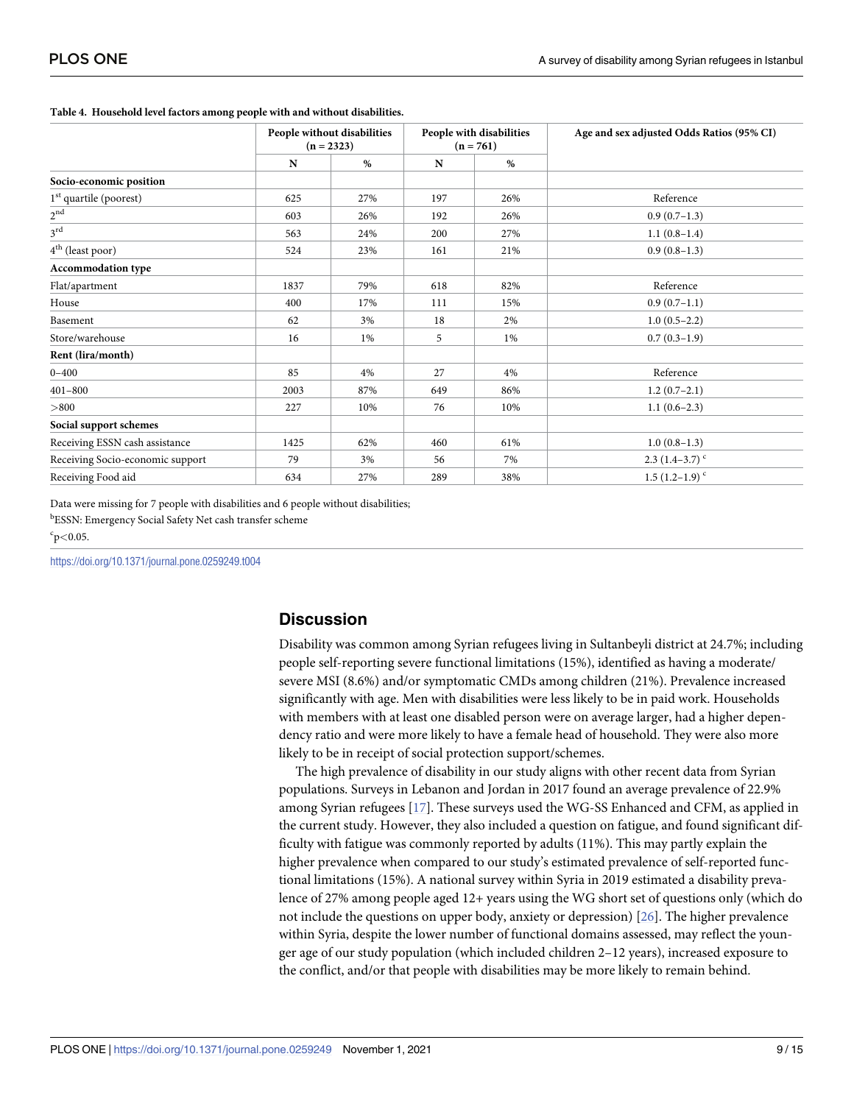|                                    |      | People without disabilities<br>$(n = 2323)$ |     | People with disabilities<br>$(n = 761)$ | Age and sex adjusted Odds Ratios (95% CI) |  |  |
|------------------------------------|------|---------------------------------------------|-----|-----------------------------------------|-------------------------------------------|--|--|
|                                    | N    | $\%$                                        | N   | %                                       |                                           |  |  |
| Socio-economic position            |      |                                             |     |                                         |                                           |  |  |
| 1 <sup>st</sup> quartile (poorest) | 625  | 27%                                         | 197 | 26%                                     | Reference                                 |  |  |
| $2^{\mathrm{nd}}$                  | 603  | 26%                                         | 192 | 26%                                     | $0.9(0.7-1.3)$                            |  |  |
| $3^{\text{rd}}$                    | 563  | 24%                                         | 200 | 27%                                     | $1.1(0.8-1.4)$                            |  |  |
| 4 <sup>th</sup> (least poor)       | 524  | 23%                                         | 161 | 21%                                     | $0.9(0.8-1.3)$                            |  |  |
| <b>Accommodation type</b>          |      |                                             |     |                                         |                                           |  |  |
| Flat/apartment                     | 1837 | 79%                                         | 618 | 82%                                     | Reference                                 |  |  |
| House                              | 400  | 17%                                         | 111 | 15%                                     | $0.9(0.7-1.1)$                            |  |  |
| Basement                           | 62   | 3%                                          | 18  | 2%                                      | $1.0(0.5-2.2)$                            |  |  |
| Store/warehouse                    | 16   | $1\%$                                       | 5   | $1\%$                                   | $0.7(0.3-1.9)$                            |  |  |
| Rent (lira/month)                  |      |                                             |     |                                         |                                           |  |  |
| $0 - 400$                          | 85   | 4%                                          | 27  | 4%                                      | Reference                                 |  |  |
| $401 - 800$                        | 2003 | 87%                                         | 649 | 86%                                     | $1.2(0.7-2.1)$                            |  |  |
| > 800                              | 227  | 10%                                         | 76  | 10%                                     | $1.1(0.6-2.3)$                            |  |  |
| Social support schemes             |      |                                             |     |                                         |                                           |  |  |
| Receiving ESSN cash assistance     | 1425 | 62%                                         | 460 | 61%                                     | $1.0(0.8-1.3)$                            |  |  |
| Receiving Socio-economic support   | 79   | 3%                                          | 56  | 7%                                      | $2.3(1.4-3.7)^{c}$                        |  |  |
| Receiving Food aid                 | 634  | 27%                                         | 289 | 38%                                     | 1.5 $(1.2-1.9)$ <sup>c</sup>              |  |  |

#### <span id="page-8-0"></span>**[Table](#page-7-0) 4. Household level factors among people with and without disabilities.**

Data were missing for 7 people with disabilities and 6 people without disabilities; **bESSN: Emergency Social Safety Net cash transfer scheme** 

c p*<*0.05.

<https://doi.org/10.1371/journal.pone.0259249.t004>

### **Discussion**

Disability was common among Syrian refugees living in Sultanbeyli district at 24.7%; including people self-reporting severe functional limitations (15%), identified as having a moderate/ severe MSI (8.6%) and/or symptomatic CMDs among children (21%). Prevalence increased significantly with age. Men with disabilities were less likely to be in paid work. Households with members with at least one disabled person were on average larger, had a higher dependency ratio and were more likely to have a female head of household. They were also more likely to be in receipt of social protection support/schemes.

The high prevalence of disability in our study aligns with other recent data from Syrian populations. Surveys in Lebanon and Jordan in 2017 found an average prevalence of 22.9% among Syrian refugees [\[17\]](#page-13-0). These surveys used the WG-SS Enhanced and CFM, as applied in the current study. However, they also included a question on fatigue, and found significant difficulty with fatigue was commonly reported by adults (11%). This may partly explain the higher prevalence when compared to our study's estimated prevalence of self-reported functional limitations (15%). A national survey within Syria in 2019 estimated a disability prevalence of 27% among people aged 12+ years using the WG short set of questions only (which do not include the questions on upper body, anxiety or depression) [[26](#page-13-0)]. The higher prevalence within Syria, despite the lower number of functional domains assessed, may reflect the younger age of our study population (which included children 2–12 years), increased exposure to the conflict, and/or that people with disabilities may be more likely to remain behind.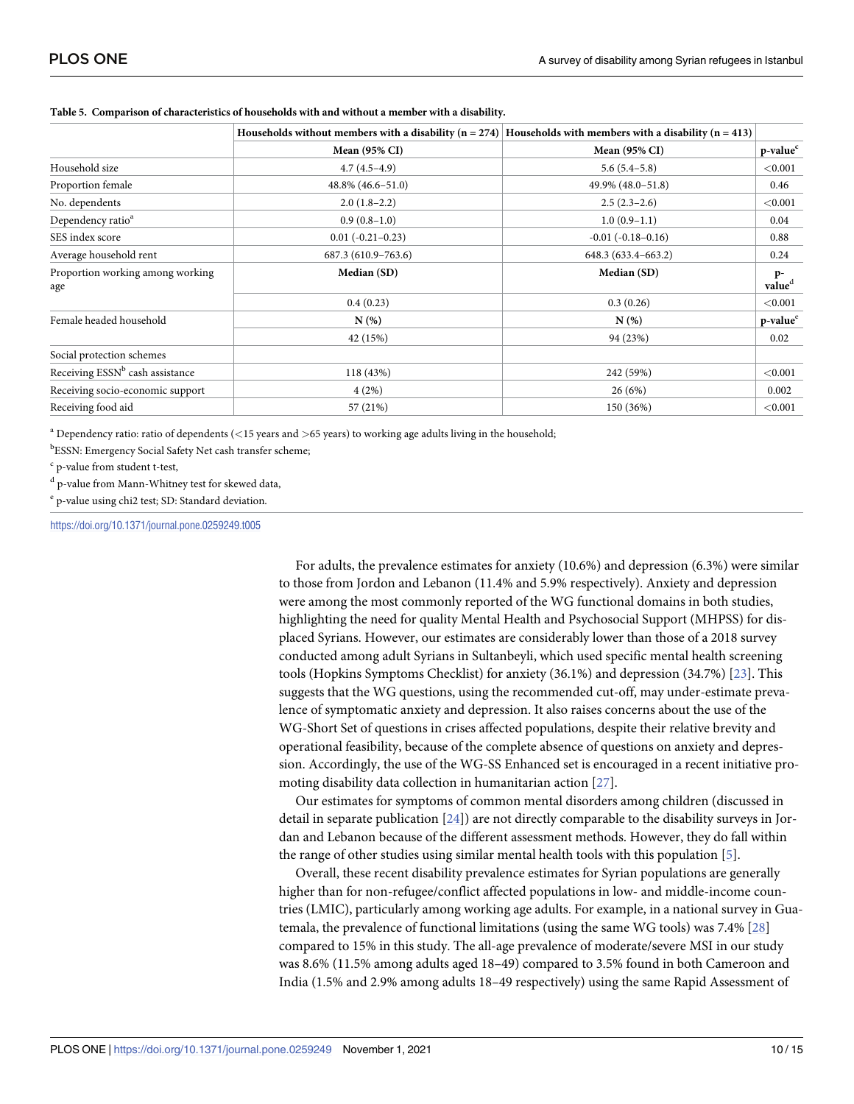|                                             | Households without members with a disability $(n = 274)$ Households with members with a disability $(n = 413)$ |                      |                            |
|---------------------------------------------|----------------------------------------------------------------------------------------------------------------|----------------------|----------------------------|
|                                             | <b>Mean (95% CI)</b>                                                                                           | <b>Mean (95% CI)</b> | p-value <sup>c</sup>       |
| Household size                              | $4.7(4.5-4.9)$                                                                                                 | $5.6(5.4-5.8)$       | < 0.001                    |
| Proportion female                           | 48.8% (46.6-51.0)                                                                                              | 49.9% (48.0-51.8)    | 0.46                       |
| No. dependents                              | $2.0(1.8-2.2)$                                                                                                 | $2.5(2.3-2.6)$       | < 0.001                    |
| Dependency ratio <sup>a</sup>               | $0.9(0.8-1.0)$                                                                                                 | $1.0(0.9-1.1)$       | 0.04                       |
| SES index score                             | $0.01(-0.21-0.23)$                                                                                             | $-0.01(-0.18-0.16)$  | 0.88                       |
| Average household rent                      | 687.3 (610.9-763.6)                                                                                            | 648.3 (633.4-663.2)  | 0.24                       |
| Proportion working among working<br>age     | Median (SD)                                                                                                    | Median (SD)          | $p-$<br>value <sup>d</sup> |
|                                             | 0.4(0.23)                                                                                                      | 0.3(0.26)            | ${<}0.001$                 |
| Female headed household                     | $N(\%)$                                                                                                        | N(%)                 | p-value <sup>e</sup>       |
|                                             | 42 (15%)                                                                                                       | 94 (23%)             | 0.02                       |
| Social protection schemes                   |                                                                                                                |                      |                            |
| Receiving ESSN <sup>b</sup> cash assistance | 118 (43%)                                                                                                      | 242 (59%)            | ${<}0.001$                 |
| Receiving socio-economic support            | 4(2%)                                                                                                          | 26(6%)               | 0.002                      |
| Receiving food aid                          | 57 (21%)                                                                                                       | 150 (36%)            | < 0.001                    |

<span id="page-9-0"></span>**[Table](#page-7-0) 5. Comparison of characteristics of households with and without a member with a disability.**

<sup>a</sup> Dependency ratio: ratio of dependents (*<*15 years and *>*65 years) to working age adults living in the household;

**bESSN: Emergency Social Safety Net cash transfer scheme;** 

<sup>c</sup> p-value from student t-test,

<sup>d</sup> p-value from Mann-Whitney test for skewed data,

<sup>e</sup> p-value using chi2 test; SD: Standard deviation.

<https://doi.org/10.1371/journal.pone.0259249.t005>

For adults, the prevalence estimates for anxiety (10.6%) and depression (6.3%) were similar to those from Jordon and Lebanon (11.4% and 5.9% respectively). Anxiety and depression were among the most commonly reported of the WG functional domains in both studies, highlighting the need for quality Mental Health and Psychosocial Support (MHPSS) for displaced Syrians. However, our estimates are considerably lower than those of a 2018 survey conducted among adult Syrians in Sultanbeyli, which used specific mental health screening tools (Hopkins Symptoms Checklist) for anxiety (36.1%) and depression (34.7%) [\[23\]](#page-13-0). This suggests that the WG questions, using the recommended cut-off, may under-estimate prevalence of symptomatic anxiety and depression. It also raises concerns about the use of the WG-Short Set of questions in crises affected populations, despite their relative brevity and operational feasibility, because of the complete absence of questions on anxiety and depression. Accordingly, the use of the WG-SS Enhanced set is encouraged in a recent initiative promoting disability data collection in humanitarian action [[27](#page-13-0)].

Our estimates for symptoms of common mental disorders among children (discussed in detail in separate publication [\[24\]](#page-13-0)) are not directly comparable to the disability surveys in Jordan and Lebanon because of the different assessment methods. However, they do fall within the range of other studies using similar mental health tools with this population [[5](#page-12-0)].

Overall, these recent disability prevalence estimates for Syrian populations are generally higher than for non-refugee/conflict affected populations in low- and middle-income countries (LMIC), particularly among working age adults. For example, in a national survey in Guatemala, the prevalence of functional limitations (using the same WG tools) was 7.4% [\[28\]](#page-14-0) compared to 15% in this study. The all-age prevalence of moderate/severe MSI in our study was 8.6% (11.5% among adults aged 18–49) compared to 3.5% found in both Cameroon and India (1.5% and 2.9% among adults 18–49 respectively) using the same Rapid Assessment of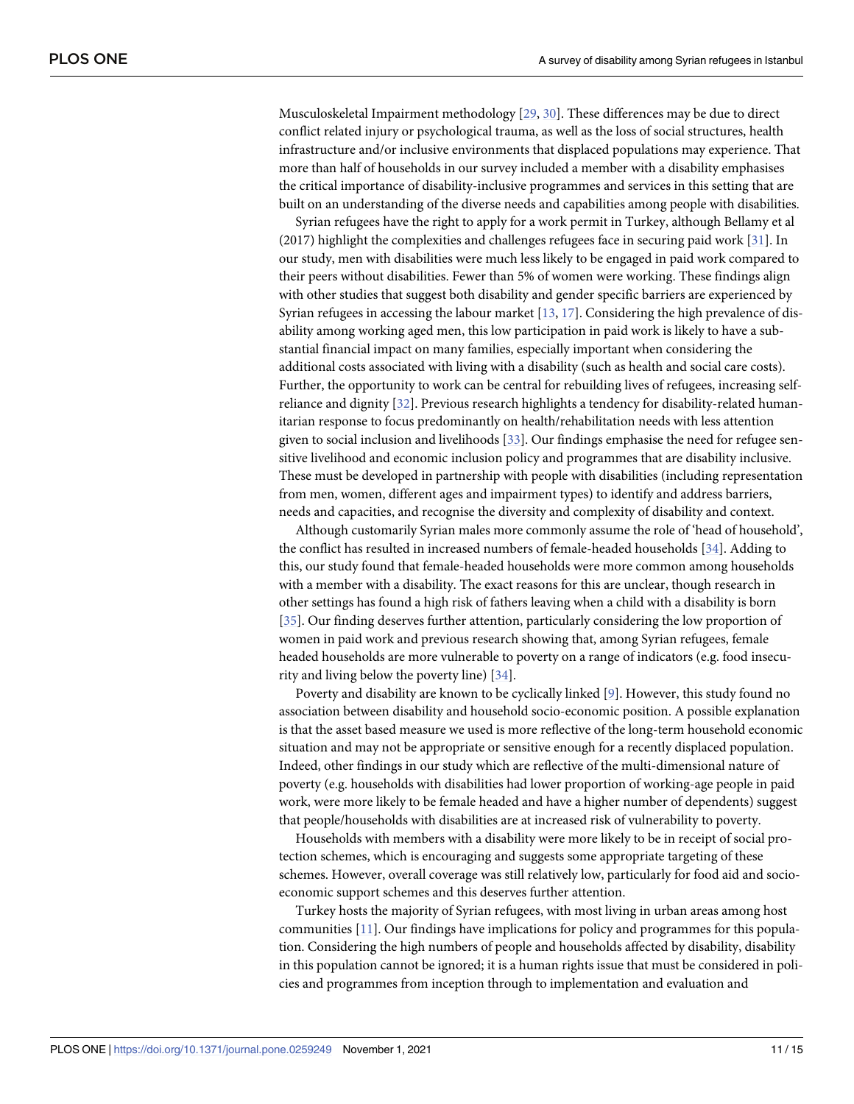<span id="page-10-0"></span>Musculoskeletal Impairment methodology [\[29,](#page-14-0) [30\]](#page-14-0). These differences may be due to direct conflict related injury or psychological trauma, as well as the loss of social structures, health infrastructure and/or inclusive environments that displaced populations may experience. That more than half of households in our survey included a member with a disability emphasises the critical importance of disability-inclusive programmes and services in this setting that are built on an understanding of the diverse needs and capabilities among people with disabilities.

Syrian refugees have the right to apply for a work permit in Turkey, although Bellamy et al (2017) highlight the complexities and challenges refugees face in securing paid work [[31](#page-14-0)]. In our study, men with disabilities were much less likely to be engaged in paid work compared to their peers without disabilities. Fewer than 5% of women were working. These findings align with other studies that suggest both disability and gender specific barriers are experienced by Syrian refugees in accessing the labour market  $[13, 17]$  $[13, 17]$  $[13, 17]$  $[13, 17]$  $[13, 17]$ . Considering the high prevalence of disability among working aged men, this low participation in paid work is likely to have a substantial financial impact on many families, especially important when considering the additional costs associated with living with a disability (such as health and social care costs). Further, the opportunity to work can be central for rebuilding lives of refugees, increasing selfreliance and dignity [[32](#page-14-0)]. Previous research highlights a tendency for disability-related humanitarian response to focus predominantly on health/rehabilitation needs with less attention given to social inclusion and livelihoods [[33](#page-14-0)]. Our findings emphasise the need for refugee sensitive livelihood and economic inclusion policy and programmes that are disability inclusive. These must be developed in partnership with people with disabilities (including representation from men, women, different ages and impairment types) to identify and address barriers, needs and capacities, and recognise the diversity and complexity of disability and context.

Although customarily Syrian males more commonly assume the role of 'head of household', the conflict has resulted in increased numbers of female-headed households [\[34\]](#page-14-0). Adding to this, our study found that female-headed households were more common among households with a member with a disability. The exact reasons for this are unclear, though research in other settings has found a high risk of fathers leaving when a child with a disability is born [\[35\]](#page-14-0). Our finding deserves further attention, particularly considering the low proportion of women in paid work and previous research showing that, among Syrian refugees, female headed households are more vulnerable to poverty on a range of indicators (e.g. food insecurity and living below the poverty line) [\[34\]](#page-14-0).

Poverty and disability are known to be cyclically linked [\[9\]](#page-13-0). However, this study found no association between disability and household socio-economic position. A possible explanation is that the asset based measure we used is more reflective of the long-term household economic situation and may not be appropriate or sensitive enough for a recently displaced population. Indeed, other findings in our study which are reflective of the multi-dimensional nature of poverty (e.g. households with disabilities had lower proportion of working-age people in paid work, were more likely to be female headed and have a higher number of dependents) suggest that people/households with disabilities are at increased risk of vulnerability to poverty.

Households with members with a disability were more likely to be in receipt of social protection schemes, which is encouraging and suggests some appropriate targeting of these schemes. However, overall coverage was still relatively low, particularly for food aid and socioeconomic support schemes and this deserves further attention.

Turkey hosts the majority of Syrian refugees, with most living in urban areas among host communities [\[11\]](#page-13-0). Our findings have implications for policy and programmes for this population. Considering the high numbers of people and households affected by disability, disability in this population cannot be ignored; it is a human rights issue that must be considered in policies and programmes from inception through to implementation and evaluation and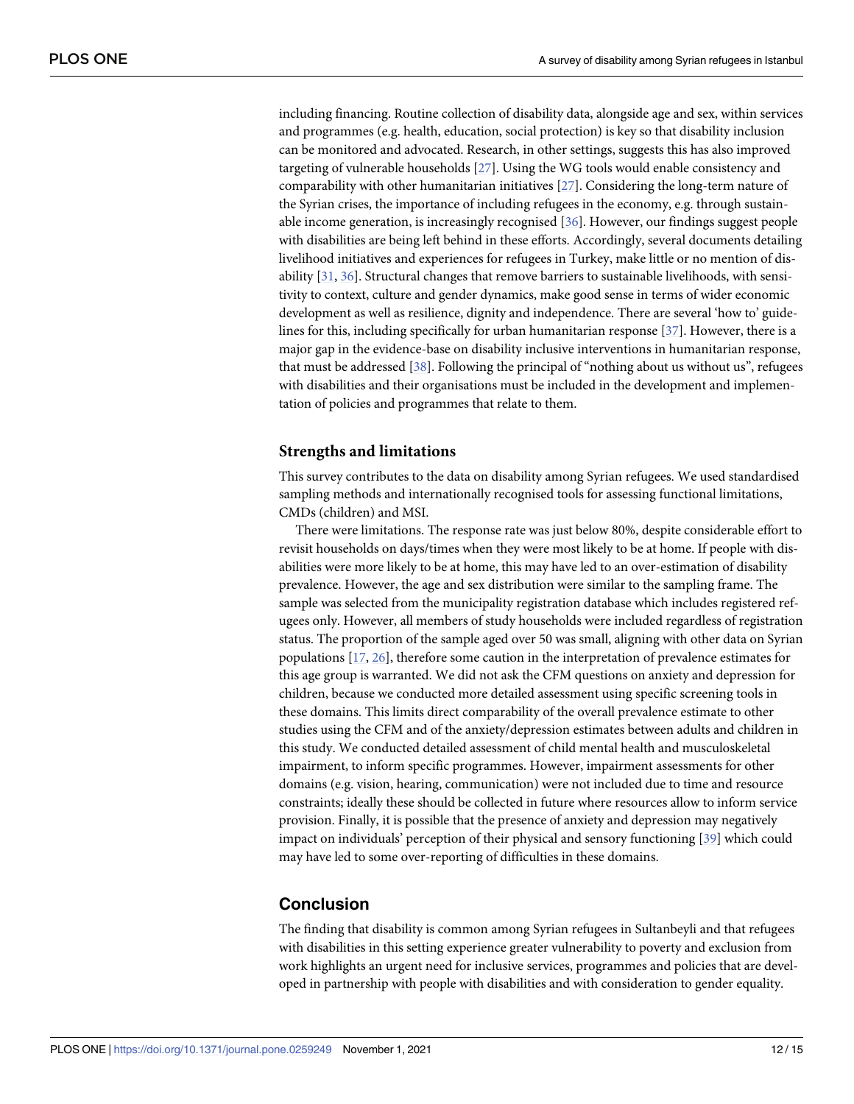<span id="page-11-0"></span>including financing. Routine collection of disability data, alongside age and sex, within services and programmes (e.g. health, education, social protection) is key so that disability inclusion can be monitored and advocated. Research, in other settings, suggests this has also improved targeting of vulnerable households [[27](#page-13-0)]. Using the WG tools would enable consistency and comparability with other humanitarian initiatives [[27](#page-13-0)]. Considering the long-term nature of the Syrian crises, the importance of including refugees in the economy, e.g. through sustainable income generation, is increasingly recognised [\[36\]](#page-14-0). However, our findings suggest people with disabilities are being left behind in these efforts. Accordingly, several documents detailing livelihood initiatives and experiences for refugees in Turkey, make little or no mention of disability [\[31,](#page-14-0) [36\]](#page-14-0). Structural changes that remove barriers to sustainable livelihoods, with sensitivity to context, culture and gender dynamics, make good sense in terms of wider economic development as well as resilience, dignity and independence. There are several 'how to' guidelines for this, including specifically for urban humanitarian response [\[37\]](#page-14-0). However, there is a major gap in the evidence-base on disability inclusive interventions in humanitarian response, that must be addressed [[38](#page-14-0)]. Following the principal of "nothing about us without us", refugees with disabilities and their organisations must be included in the development and implementation of policies and programmes that relate to them.

### **Strengths and limitations**

This survey contributes to the data on disability among Syrian refugees. We used standardised sampling methods and internationally recognised tools for assessing functional limitations, CMDs (children) and MSI.

There were limitations. The response rate was just below 80%, despite considerable effort to revisit households on days/times when they were most likely to be at home. If people with disabilities were more likely to be at home, this may have led to an over-estimation of disability prevalence. However, the age and sex distribution were similar to the sampling frame. The sample was selected from the municipality registration database which includes registered refugees only. However, all members of study households were included regardless of registration status. The proportion of the sample aged over 50 was small, aligning with other data on Syrian populations [[17](#page-13-0), [26](#page-13-0)], therefore some caution in the interpretation of prevalence estimates for this age group is warranted. We did not ask the CFM questions on anxiety and depression for children, because we conducted more detailed assessment using specific screening tools in these domains. This limits direct comparability of the overall prevalence estimate to other studies using the CFM and of the anxiety/depression estimates between adults and children in this study. We conducted detailed assessment of child mental health and musculoskeletal impairment, to inform specific programmes. However, impairment assessments for other domains (e.g. vision, hearing, communication) were not included due to time and resource constraints; ideally these should be collected in future where resources allow to inform service provision. Finally, it is possible that the presence of anxiety and depression may negatively impact on individuals' perception of their physical and sensory functioning [\[39\]](#page-14-0) which could may have led to some over-reporting of difficulties in these domains.

### **Conclusion**

The finding that disability is common among Syrian refugees in Sultanbeyli and that refugees with disabilities in this setting experience greater vulnerability to poverty and exclusion from work highlights an urgent need for inclusive services, programmes and policies that are developed in partnership with people with disabilities and with consideration to gender equality.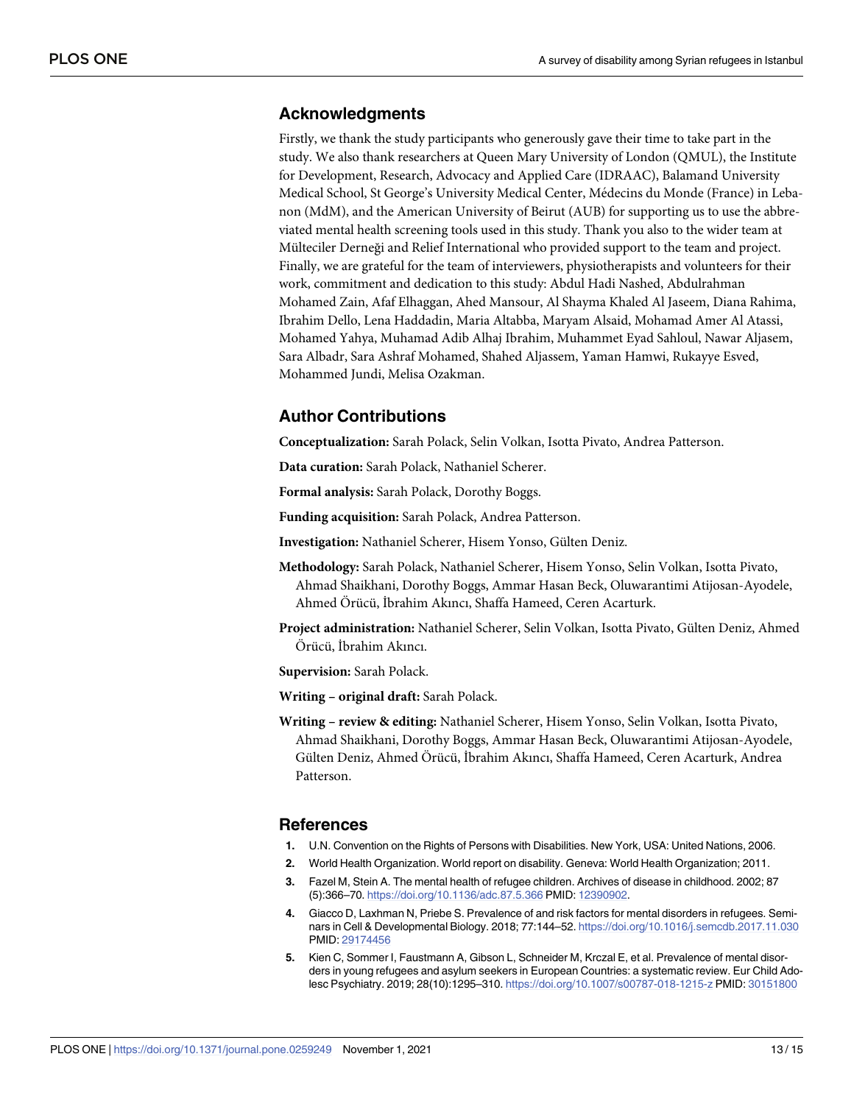### <span id="page-12-0"></span>**Acknowledgments**

Firstly, we thank the study participants who generously gave their time to take part in the study. We also thank researchers at Queen Mary University of London (QMUL), the Institute for Development, Research, Advocacy and Applied Care (IDRAAC), Balamand University Medical School, St George's University Medical Center, Médecins du Monde (France) in Lebanon (MdM), and the American University of Beirut (AUB) for supporting us to use the abbreviated mental health screening tools used in this study. Thank you also to the wider team at Mülteciler Derneği and Relief International who provided support to the team and project. Finally, we are grateful for the team of interviewers, physiotherapists and volunteers for their work, commitment and dedication to this study: Abdul Hadi Nashed, Abdulrahman Mohamed Zain, Afaf Elhaggan, Ahed Mansour, Al Shayma Khaled Al Jaseem, Diana Rahima, Ibrahim Dello, Lena Haddadin, Maria Altabba, Maryam Alsaid, Mohamad Amer Al Atassi, Mohamed Yahya, Muhamad Adib Alhaj Ibrahim, Muhammet Eyad Sahloul, Nawar Aljasem, Sara Albadr, Sara Ashraf Mohamed, Shahed Aljassem, Yaman Hamwi, Rukayye Esved, Mohammed Jundi, Melisa Ozakman.

### **Author Contributions**

**Conceptualization:** Sarah Polack, Selin Volkan, Isotta Pivato, Andrea Patterson.

**Data curation:** Sarah Polack, Nathaniel Scherer.

**Formal analysis:** Sarah Polack, Dorothy Boggs.

**Funding acquisition:** Sarah Polack, Andrea Patterson.

Investigation: Nathaniel Scherer, Hisem Yonso, Gülten Deniz.

- **Methodology:** Sarah Polack, Nathaniel Scherer, Hisem Yonso, Selin Volkan, Isotta Pivato, Ahmad Shaikhani, Dorothy Boggs, Ammar Hasan Beck, Oluwarantimi Atijosan-Ayodele, Ahmed Örücü, İbrahim Akıncı, Shaffa Hameed, Ceren Acarturk.
- Project administration: Nathaniel Scherer, Selin Volkan, Isotta Pivato, Gülten Deniz, Ahmed Örücü, İbrahim Akıncı.

**Supervision:** Sarah Polack.

**Writing – original draft:** Sarah Polack.

**Writing – review & editing:** Nathaniel Scherer, Hisem Yonso, Selin Volkan, Isotta Pivato, Ahmad Shaikhani, Dorothy Boggs, Ammar Hasan Beck, Oluwarantimi Atijosan-Ayodele, Gülten Deniz, Ahmed Örücü, İbrahim Akıncı, Shaffa Hameed, Ceren Acarturk, Andrea Patterson.

### **References**

- **[1](#page-1-0).** U.N. Convention on the Rights of Persons with Disabilities. New York, USA: United Nations, 2006.
- **[2](#page-1-0).** World Health Organization. World report on disability. Geneva: World Health Organization; 2011.
- **[3](#page-1-0).** Fazel M, Stein A. The mental health of refugee children. Archives of disease in childhood. 2002; 87 (5):366–70. <https://doi.org/10.1136/adc.87.5.366> PMID: [12390902.](http://www.ncbi.nlm.nih.gov/pubmed/12390902)
- **4.** Giacco D, Laxhman N, Priebe S. Prevalence of and risk factors for mental disorders in refugees. Seminars in Cell & Developmental Biology. 2018; 77:144–52. <https://doi.org/10.1016/j.semcdb.2017.11.030> PMID: [29174456](http://www.ncbi.nlm.nih.gov/pubmed/29174456)
- **[5](#page-1-0).** Kien C, Sommer I, Faustmann A, Gibson L, Schneider M, Krczal E, et al. Prevalence of mental disorders in young refugees and asylum seekers in European Countries: a systematic review. Eur Child Adolesc Psychiatry. 2019; 28(10):1295–310. <https://doi.org/10.1007/s00787-018-1215-z> PMID: [30151800](http://www.ncbi.nlm.nih.gov/pubmed/30151800)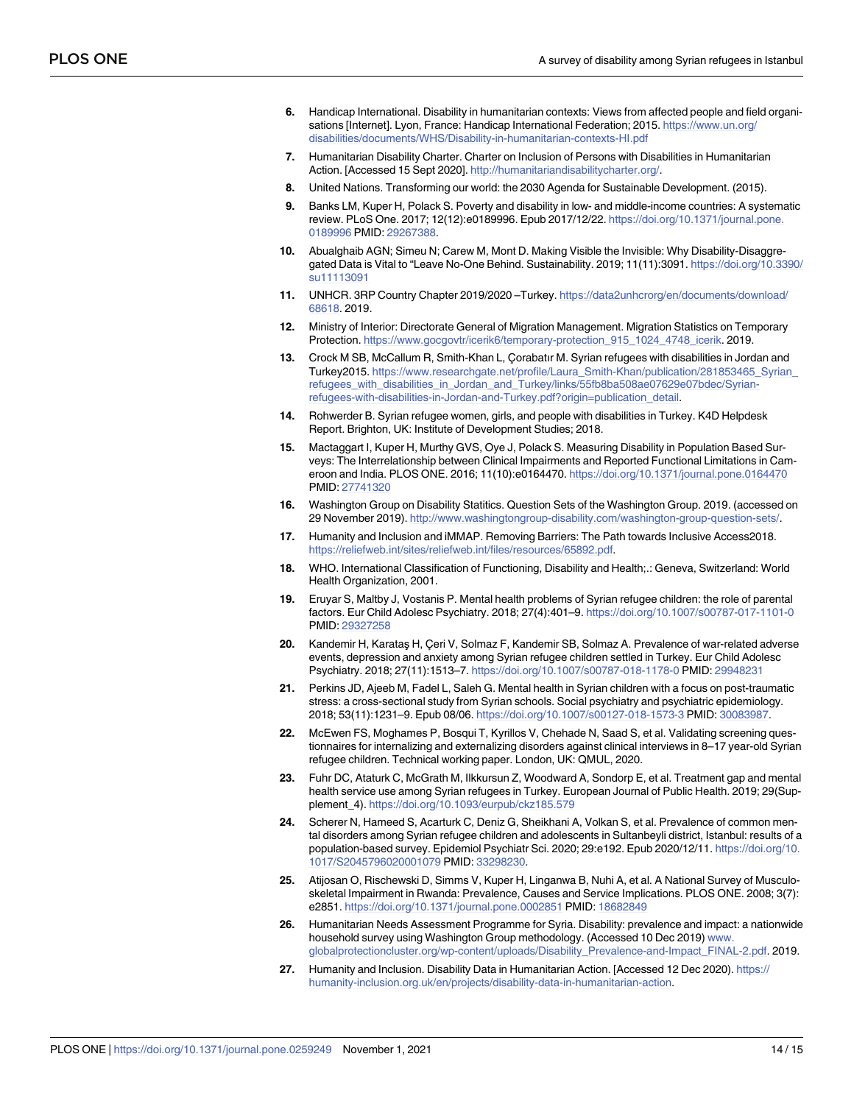- <span id="page-13-0"></span>**[6](#page-1-0).** Handicap International. Disability in humanitarian contexts: Views from affected people and field organisations [Internet]. Lyon, France: Handicap International Federation; 2015. [https://www.un.org/](https://www.un.org/disabilities/documents/WHS/Disability-in-humanitarian-contexts-HI.pdf) [disabilities/documents/WHS/Disability-in-humanitarian-contexts-HI.pdf](https://www.un.org/disabilities/documents/WHS/Disability-in-humanitarian-contexts-HI.pdf)
- **[7](#page-1-0).** Humanitarian Disability Charter. Charter on Inclusion of Persons with Disabilities in Humanitarian Action. [Accessed 15 Sept 2020]. [http://humanitariandisabilitycharter.org/.](http://humanitariandisabilitycharter.org/)
- **[8](#page-1-0).** United Nations. Transforming our world: the 2030 Agenda for Sustainable Development. (2015).
- **[9](#page-1-0).** Banks LM, Kuper H, Polack S. Poverty and disability in low- and middle-income countries: A systematic review. PLoS One. 2017; 12(12):e0189996. Epub 2017/12/22. [https://doi.org/10.1371/journal.pone.](https://doi.org/10.1371/journal.pone.0189996) [0189996](https://doi.org/10.1371/journal.pone.0189996) PMID: [29267388](http://www.ncbi.nlm.nih.gov/pubmed/29267388).
- **[10](#page-1-0).** Abualghaib AGN; Simeu N; Carew M, Mont D. Making Visible the Invisible: Why Disability-Disaggregated Data is Vital to "Leave No-One Behind. Sustainability. 2019; 11(11):3091. [https://doi.org/10.3390/](https://doi.org/10.3390/su11113091) [su11113091](https://doi.org/10.3390/su11113091)
- **[11](#page-1-0).** UNHCR. 3RP Country Chapter 2019/2020 –Turkey. [https://data2unhcrorg/en/documents/download/](https://data2unhcrorg/en/documents/download/68618) [68618](https://data2unhcrorg/en/documents/download/68618). 2019.
- **[12](#page-1-0).** Ministry of Interior: Directorate General of Migration Management. Migration Statistics on Temporary Protection. [https://www.gocgovtr/icerik6/temporary-protection\\_915\\_1024\\_4748\\_icerik](https://www.gocgovtr/icerik6/temporary-protection_915_1024_4748_icerik). 2019.
- **[13](#page-1-0).** Crock M SB, McCallum R, Smith-Khan L, Corabatır M. Syrian refugees with disabilities in Jordan and Turkey2015. [https://www.researchgate.net/profile/Laura\\_Smith-Khan/publication/281853465\\_Syrian\\_](https://www.researchgate.net/profile/Laura_Smith-Khan/publication/281853465_Syrian_refugees_with_disabilities_in_Jordan_and_Turkey/links/55fb8ba508ae07629e07bdec/Syrian-refugees-with-disabilities-in-Jordan-and-Turkey.pdf?origin=publication_detail) [refugees\\_with\\_disabilities\\_in\\_Jordan\\_and\\_Turkey/links/55fb8ba508ae07629e07bdec/Syrian](https://www.researchgate.net/profile/Laura_Smith-Khan/publication/281853465_Syrian_refugees_with_disabilities_in_Jordan_and_Turkey/links/55fb8ba508ae07629e07bdec/Syrian-refugees-with-disabilities-in-Jordan-and-Turkey.pdf?origin=publication_detail)[refugees-with-disabilities-in-Jordan-and-Turkey.pdf?origin=publication\\_detail.](https://www.researchgate.net/profile/Laura_Smith-Khan/publication/281853465_Syrian_refugees_with_disabilities_in_Jordan_and_Turkey/links/55fb8ba508ae07629e07bdec/Syrian-refugees-with-disabilities-in-Jordan-and-Turkey.pdf?origin=publication_detail)
- **[14](#page-1-0).** Rohwerder B. Syrian refugee women, girls, and people with disabilities in Turkey. K4D Helpdesk Report. Brighton, UK: Institute of Development Studies; 2018.
- **[15](#page-1-0).** Mactaggart I, Kuper H, Murthy GVS, Oye J, Polack S. Measuring Disability in Population Based Surveys: The Interrelationship between Clinical Impairments and Reported Functional Limitations in Cameroon and India. PLOS ONE. 2016; 11(10):e0164470. <https://doi.org/10.1371/journal.pone.0164470> PMID: [27741320](http://www.ncbi.nlm.nih.gov/pubmed/27741320)
- **[16](#page-1-0).** Washington Group on Disability Statitics. Question Sets of the Washington Group. 2019. (accessed on 29 November 2019). [http://www.washingtongroup-disability.com/washington-group-question-sets/.](http://www.washingtongroup-disability.com/washington-group-question-sets/)
- **[17](#page-1-0).** Humanity and Inclusion and iMMAP. Removing Barriers: The Path towards Inclusive Access2018. <https://reliefweb.int/sites/reliefweb.int/files/resources/65892.pdf>.
- **[18](#page-2-0).** WHO. International Classification of Functioning, Disability and Health;.: Geneva, Switzerland: World Health Organization, 2001.
- **[19](#page-3-0).** Eruyar S, Maltby J, Vostanis P. Mental health problems of Syrian refugee children: the role of parental factors. Eur Child Adolesc Psychiatry. 2018; 27(4):401–9. <https://doi.org/10.1007/s00787-017-1101-0> PMID: [29327258](http://www.ncbi.nlm.nih.gov/pubmed/29327258)
- 20. Kandemir H, Karataş H, Çeri V, Solmaz F, Kandemir SB, Solmaz A. Prevalence of war-related adverse events, depression and anxiety among Syrian refugee children settled in Turkey. Eur Child Adolesc Psychiatry. 2018; 27(11):1513–7. <https://doi.org/10.1007/s00787-018-1178-0> PMID: [29948231](http://www.ncbi.nlm.nih.gov/pubmed/29948231)
- **[21](#page-3-0).** Perkins JD, Ajeeb M, Fadel L, Saleh G. Mental health in Syrian children with a focus on post-traumatic stress: a cross-sectional study from Syrian schools. Social psychiatry and psychiatric epidemiology. 2018; 53(11):1231–9. Epub 08/06. <https://doi.org/10.1007/s00127-018-1573-3> PMID: [30083987](http://www.ncbi.nlm.nih.gov/pubmed/30083987).
- **[22](#page-3-0).** McEwen FS, Moghames P, Bosqui T, Kyrillos V, Chehade N, Saad S, et al. Validating screening questionnaires for internalizing and externalizing disorders against clinical interviews in 8–17 year-old Syrian refugee children. Technical working paper. London, UK: QMUL, 2020.
- **[23](#page-3-0).** Fuhr DC, Ataturk C, McGrath M, Ilkkursun Z, Woodward A, Sondorp E, et al. Treatment gap and mental health service use among Syrian refugees in Turkey. European Journal of Public Health. 2019; 29(Supplement\_4). <https://doi.org/10.1093/eurpub/ckz185.579>
- **[24](#page-3-0).** Scherer N, Hameed S, Acarturk C, Deniz G, Sheikhani A, Volkan S, et al. Prevalence of common mental disorders among Syrian refugee children and adolescents in Sultanbeyli district, Istanbul: results of a population-based survey. Epidemiol Psychiatr Sci. 2020; 29:e192. Epub 2020/12/11. [https://doi.org/10.](https://doi.org/10.1017/S2045796020001079) [1017/S2045796020001079](https://doi.org/10.1017/S2045796020001079) PMID: [33298230.](http://www.ncbi.nlm.nih.gov/pubmed/33298230)
- **[25](#page-3-0).** Atijosan O, Rischewski D, Simms V, Kuper H, Linganwa B, Nuhi A, et al. A National Survey of Musculoskeletal Impairment in Rwanda: Prevalence, Causes and Service Implications. PLOS ONE. 2008; 3(7): e2851. <https://doi.org/10.1371/journal.pone.0002851> PMID: [18682849](http://www.ncbi.nlm.nih.gov/pubmed/18682849)
- **[26](#page-8-0).** Humanitarian Needs Assessment Programme for Syria. Disability: prevalence and impact: a nationwide household survey using Washington Group methodology. (Accessed 10 Dec 2019) [www.](http://www.globalprotectioncluster.org/wp-content/uploads/Disability_Prevalence-and-Impact_FINAL-2.pdf) [globalprotectioncluster.org/wp-content/uploads/Disability\\_Prevalence-and-Impact\\_FINAL-2.pdf.](http://www.globalprotectioncluster.org/wp-content/uploads/Disability_Prevalence-and-Impact_FINAL-2.pdf) 2019.
- **[27](#page-9-0).** Humanity and Inclusion. Disability Data in Humanitarian Action. [Accessed 12 Dec 2020). [https://](https://humanity-inclusion.org.uk/en/projects/disability-data-in-humanitarian-action) [humanity-inclusion.org.uk/en/projects/disability-data-in-humanitarian-action.](https://humanity-inclusion.org.uk/en/projects/disability-data-in-humanitarian-action)